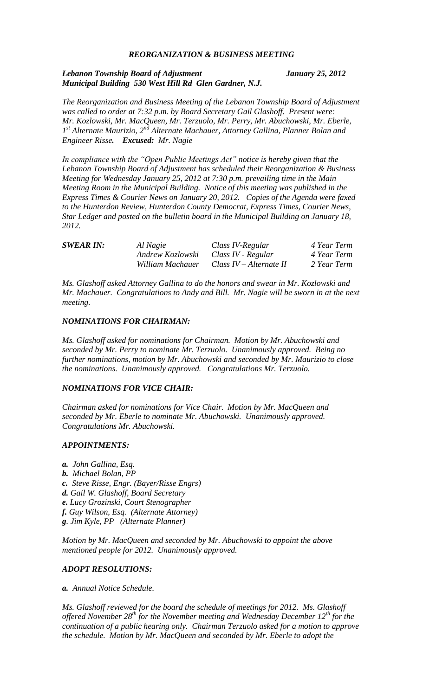## *REORGANIZATION & BUSINESS MEETING*

## *Lebanon Township Board of Adjustment January 25, 2012 Municipal Building 530 West Hill Rd Glen Gardner, N.J.*

*The Reorganization and Business Meeting of the Lebanon Township Board of Adjustment was called to order at 7:32 p.m. by Board Secretary Gail Glashoff. Present were: Mr. Kozlowski, Mr. MacQueen, Mr. Terzuolo, Mr. Perry, Mr. Abuchowski, Mr. Eberle, 1 st Alternate Maurizio, 2nd Alternate Machauer, Attorney Gallina, Planner Bolan and Engineer Risse. Excused: Mr. Nagie*

*In compliance with the "Open Public Meetings Act" notice is hereby given that the Lebanon Township Board of Adjustment has scheduled their Reorganization & Business Meeting for Wednesday January 25, 2012 at 7:30 p.m. prevailing time in the Main Meeting Room in the Municipal Building. Notice of this meeting was published in the Express Times & Courier News on January 20, 2012. Copies of the Agenda were faxed to the Hunterdon Review, Hunterdon County Democrat, Express Times, Courier News, Star Ledger and posted on the bulletin board in the Municipal Building on January 18, 2012.*

| <b>SWEAR IN:</b> | Al Nagie                            | Class IV-Regular          | 4 Year Term |
|------------------|-------------------------------------|---------------------------|-------------|
|                  | Andrew Kozlowski Class IV - Regular |                           | 4 Year Term |
|                  | William Machauer                    | Class $IV -$ Alternate II | 2 Year Term |

*Ms. Glashoff asked Attorney Gallina to do the honors and swear in Mr. Kozlowski and Mr. Machauer. Congratulations to Andy and Bill. Mr. Nagie will be sworn in at the next meeting.*

#### *NOMINATIONS FOR CHAIRMAN:*

*Ms. Glashoff asked for nominations for Chairman. Motion by Mr. Abuchowski and seconded by Mr. Perry to nominate Mr. Terzuolo. Unanimously approved. Being no further nominations, motion by Mr. Abuchowski and seconded by Mr. Maurizio to close the nominations. Unanimously approved. Congratulations Mr. Terzuolo.*

#### *NOMINATIONS FOR VICE CHAIR:*

*Chairman asked for nominations for Vice Chair. Motion by Mr. MacQueen and seconded by Mr. Eberle to nominate Mr. Abuchowski. Unanimously approved. Congratulations Mr. Abuchowski.*

#### *APPOINTMENTS:*

- *a. John Gallina, Esq.*
- *b. Michael Bolan, PP*
- *c. Steve Risse, Engr. (Bayer/Risse Engrs)*
- *d. Gail W. Glashoff, Board Secretary*
- *e. Lucy Grozinski, Court Stenographer*
- *f. Guy Wilson, Esq. (Alternate Attorney)*
- *g. Jim Kyle, PP (Alternate Planner)*

*Motion by Mr. MacQueen and seconded by Mr. Abuchowski to appoint the above mentioned people for 2012. Unanimously approved.*

## *ADOPT RESOLUTIONS:*

*a. Annual Notice Schedule.*

Ms. Glashoff reviewed for the board the schedule of meetings for 2012. Ms. Glashoff *offered November 28th for the November meeting and Wednesday December 12th for the continuation of a public hearing only. Chairman Terzuolo asked for a motion to approve the schedule. Motion by Mr. MacQueen and seconded by Mr. Eberle to adopt the*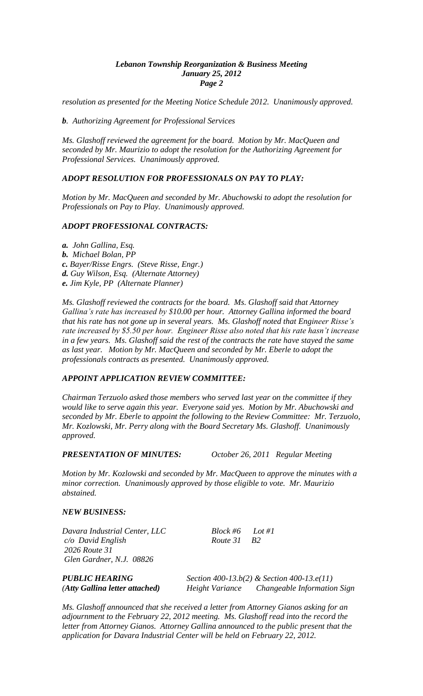#### *Lebanon Township Reorganization & Business Meeting January 25, 2012 Page 2*

*resolution as presented for the Meeting Notice Schedule 2012. Unanimously approved.* 

*b. Authorizing Agreement for Professional Services*

*Ms. Glashoff reviewed the agreement for the board. Motion by Mr. MacQueen and seconded by Mr. Maurizio to adopt the resolution for the Authorizing Agreement for Professional Services. Unanimously approved.*

# *ADOPT RESOLUTION FOR PROFESSIONALS ON PAY TO PLAY:*

*Motion by Mr. MacQueen and seconded by Mr. Abuchowski to adopt the resolution for Professionals on Pay to Play. Unanimously approved.*

## *ADOPT PROFESSIONAL CONTRACTS:*

- *a. John Gallina, Esq.*
- *b. Michael Bolan, PP*
- *c. Bayer/Risse Engrs. (Steve Risse, Engr.)*
- *d. Guy Wilson, Esq. (Alternate Attorney)*
- *e. Jim Kyle, PP (Alternate Planner)*

*Ms. Glashoff reviewed the contracts for the board. Ms. Glashoff said that Attorney Gallina's rate has increased by \$10.00 per hour. Attorney Gallina informed the board that his rate has not gone up in several years. Ms. Glashoff noted that Engineer Risse's rate increased by \$5.50 per hour. Engineer Risse also noted that his rate hasn't increase in a few years. Ms. Glashoff said the rest of the contracts the rate have stayed the same as last year. Motion by Mr. MacQueen and seconded by Mr. Eberle to adopt the professionals contracts as presented. Unanimously approved.*

# *APPOINT APPLICATION REVIEW COMMITTEE:*

*Chairman Terzuolo asked those members who served last year on the committee if they would like to serve again this year. Everyone said yes. Motion by Mr. Abuchowski and seconded by Mr. Eberle to appoint the following to the Review Committee: Mr. Terzuolo, Mr. Kozlowski, Mr. Perry along with the Board Secretary Ms. Glashoff. Unanimously approved.*

*PRESENTATION OF MINUTES: October 26, 2011 Regular Meeting*

*Motion by Mr. Kozlowski and seconded by Mr. MacQueen to approve the minutes with a minor correction. Unanimously approved by those eligible to vote. Mr. Maurizio abstained.*

## *NEW BUSINESS:*

*Davara Industrial Center, LLC Block #6 Lot #1 c/o David English Route 31 B2 2026 Route 31 Glen Gardner, N.J. 08826*

*PUBLIC HEARING Section 400-13.b(2) & Section 400-13.e(11) (Atty Gallina letter attached) Height Variance Changeable Information Sign*

*Ms. Glashoff announced that she received a letter from Attorney Gianos asking for an adjournment to the February 22, 2012 meeting. Ms. Glashoff read into the record the letter from Attorney Gianos. Attorney Gallina announced to the public present that the application for Davara Industrial Center will be held on February 22, 2012.*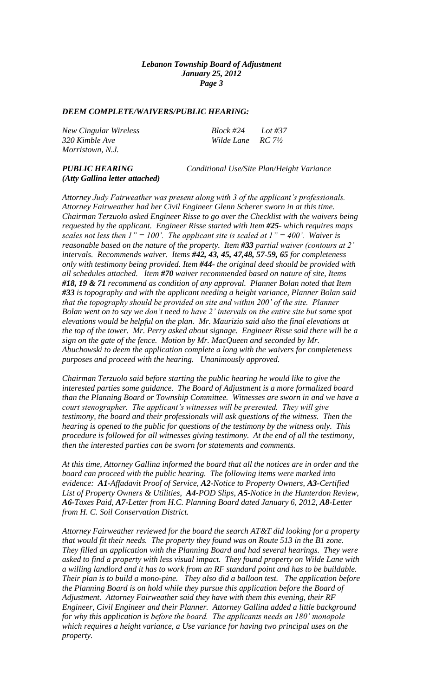#### *DEEM COMPLETE/WAIVERS/PUBLIC HEARING:*

*New Cingular Wireless Block #24 Lot #37 320 Kimble Ave Wilde Lane RC 7½ Morristown, N.J.*

# *(Atty Gallina letter attached)*

*PUBLIC HEARING Conditional Use/Site Plan/Height Variance*

*Attorney Judy Fairweather was present along with 3 of the applicant's professionals. Attorney Fairweather had her Civil Engineer Glenn Scherer sworn in at this time. Chairman Terzuolo asked Engineer Risse to go over the Checklist with the waivers being requested by the applicant. Engineer Risse started with Item #25- which requires maps scales not less then*  $I'' = 100'$ *. The applicant site is scaled at*  $I'' = 400'$ *. Waiver is reasonable based on the nature of the property. Item #33 partial waiver (contours at 2' intervals. Recommends waiver. Items #42, 43, 45, 47,48, 57-59, 65 for completeness only with testimony being provided. Item #44- the original deed should be provided with all schedules attached. Item #70 waiver recommended based on nature of site, Items #18, 19 & 71 recommend as condition of any approval. Planner Bolan noted that Item #33 is topography and with the applicant needing a height variance, Planner Bolan said that the topography should be provided on site and within 200' of the site. Planner Bolan went on to say we don't need to have 2' intervals on the entire site but some spot elevations would be helpful on the plan. Mr. Maurizio said also the final elevations at the top of the tower. Mr. Perry asked about signage. Engineer Risse said there will be a sign on the gate of the fence. Motion by Mr. MacQueen and seconded by Mr. Abuchowski to deem the application complete a long with the waivers for completeness purposes and proceed with the hearing. Unanimously approved.*

*Chairman Terzuolo said before starting the public hearing he would like to give the interested parties some guidance. The Board of Adjustment is a more formalized board than the Planning Board or Township Committee. Witnesses are sworn in and we have a court stenographer. The applicant's witnesses will be presented. They will give testimony, the board and their professionals will ask questions of the witness. Then the hearing is opened to the public for questions of the testimony by the witness only. This procedure is followed for all witnesses giving testimony. At the end of all the testimony, then the interested parties can be sworn for statements and comments.*

*At this time, Attorney Gallina informed the board that all the notices are in order and the board can proceed with the public hearing. The following items were marked into evidence: A1-Affadavit Proof of Service, A2-Notice to Property Owners, A3-Certified List of Property Owners & Utilities, A4-POD Slips, A5-Notice in the Hunterdon Review, A6-Taxes Paid, A7-Letter from H.C. Planning Board dated January 6, 2012, A8-Letter from H. C. Soil Conservation District.*

*Attorney Fairweather reviewed for the board the search AT&T did looking for a property that would fit their needs. The property they found was on Route 513 in the B1 zone. They filled an application with the Planning Board and had several hearings. They were asked to find a property with less visual impact. They found property on Wilde Lane with a willing landlord and it has to work from an RF standard point and has to be buildable. Their plan is to build a mono-pine. They also did a balloon test. The application before the Planning Board is on hold while they pursue this application before the Board of Adjustment. Attorney Fairweather said they have with them this evening, their RF Engineer, Civil Engineer and their Planner. Attorney Gallina added a little background for why this application is before the board. The applicants needs an 180' monopole which requires a height variance, a Use variance for having two principal uses on the property.*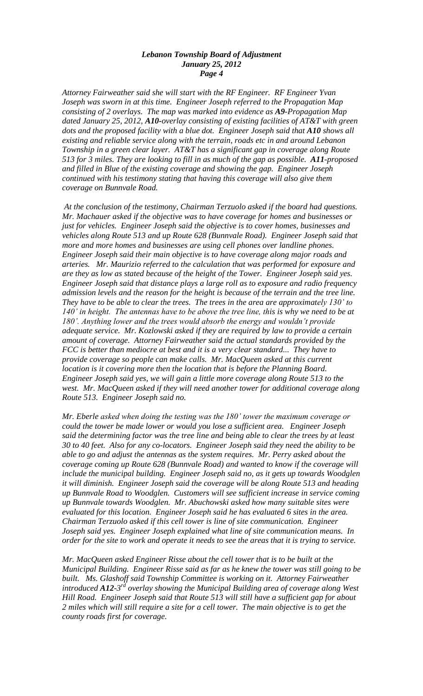*Attorney Fairweather said she will start with the RF Engineer. RF Engineer Yvan Joseph was sworn in at this time. Engineer Joseph referred to the Propagation Map consisting of 2 overlays. The map was marked into evidence as A9-Propagation Map dated January 25, 2012, A10-overlay consisting of existing facilities of AT&T with green dots and the proposed facility with a blue dot. Engineer Joseph said that A10 shows all existing and reliable service along with the terrain, roads etc in and around Lebanon Township in a green clear layer. AT&T has a significant gap in coverage along Route 513 for 3 miles. They are looking to fill in as much of the gap as possible. A11-proposed and filled in Blue of the existing coverage and showing the gap. Engineer Joseph continued with his testimony stating that having this coverage will also give them coverage on Bunnvale Road.*

*At the conclusion of the testimony, Chairman Terzuolo asked if the board had questions. Mr. Machauer asked if the objective was to have coverage for homes and businesses or just for vehicles. Engineer Joseph said the objective is to cover homes, businesses and vehicles along Route 513 and up Route 628 (Bunnvale Road). Engineer Joseph said that more and more homes and businesses are using cell phones over landline phones. Engineer Joseph said their main objective is to have coverage along major roads and arteries. Mr. Maurizio referred to the calculation that was performed for exposure and are they as low as stated because of the height of the Tower. Engineer Joseph said yes. Engineer Joseph said that distance plays a large roll as to exposure and radio frequency admission levels and the reason for the height is because of the terrain and the tree line. They have to be able to clear the trees. The trees in the area are approximately 130' to 140' in height. The antennas have to be above the tree line, this is why we need to be at 180'. Anything lower and the trees would absorb the energy and wouldn't provide adequate service. Mr. Kozlowski asked if they are required by law to provide a certain amount of coverage. Attorney Fairweather said the actual standards provided by the FCC is better than mediocre at best and it is a very clear standard... They have to provide coverage so people can make calls. Mr. MacQueen asked at this current location is it covering more then the location that is before the Planning Board. Engineer Joseph said yes, we will gain a little more coverage along Route 513 to the west. Mr. MacQueen asked if they will need another tower for additional coverage along Route 513. Engineer Joseph said no.*

*Mr. Eberle asked when doing the testing was the 180' tower the maximum coverage or could the tower be made lower or would you lose a sufficient area. Engineer Joseph said the determining factor was the tree line and being able to clear the trees by at least 30 to 40 feet. Also for any co-locators. Engineer Joseph said they need the ability to be able to go and adjust the antennas as the system requires. Mr. Perry asked about the coverage coming up Route 628 (Bunnvale Road) and wanted to know if the coverage will include the municipal building. Engineer Joseph said no, as it gets up towards Woodglen it will diminish. Engineer Joseph said the coverage will be along Route 513 and heading up Bunnvale Road to Woodglen. Customers will see sufficient increase in service coming up Bunnvale towards Woodglen. Mr. Abuchowski asked how many suitable sites were evaluated for this location. Engineer Joseph said he has evaluated 6 sites in the area. Chairman Terzuolo asked if this cell tower is line of site communication. Engineer Joseph said yes. Engineer Joseph explained what line of site communication means. In order for the site to work and operate it needs to see the areas that it is trying to service.*

*Mr. MacQueen asked Engineer Risse about the cell tower that is to be built at the Municipal Building. Engineer Risse said as far as he knew the tower was still going to be*  built. Ms. Glashoff said Township Committee is working on it. Attorney Fairweather introduced **A12**-3<sup>rd</sup> overlay showing the Municipal Building area of coverage along West *Hill Road. Engineer Joseph said that Route 513 will still have a sufficient gap for about 2 miles which will still require a site for a cell tower. The main objective is to get the county roads first for coverage.*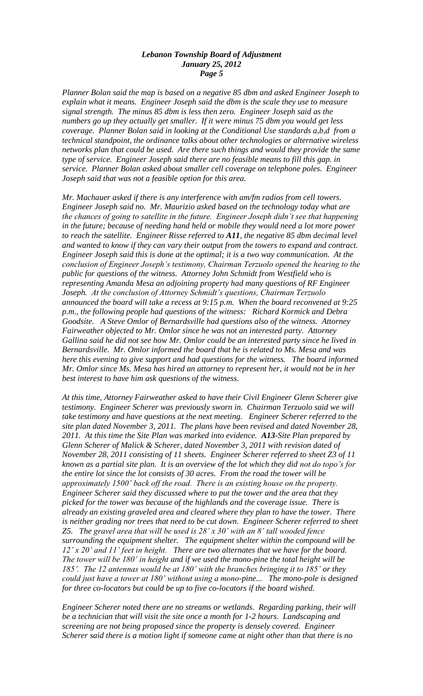*Planner Bolan said the map is based on a negative 85 dbm and asked Engineer Joseph to explain what it means. Engineer Joseph said the dbm is the scale they use to measure signal strength. The minus 85 dbm is less then zero. Engineer Joseph said as the numbers go up they actually get smaller. If it were minus 75 dbm you would get less coverage. Planner Bolan said in looking at the Conditional Use standards a,b,d from a technical standpoint, the ordinance talks about other technologies or alternative wireless networks plan that could be used. Are there such things and would they provide the same type of service. Engineer Joseph said there are no feasible means to fill this gap. in service. Planner Bolan asked about smaller cell coverage on telephone poles. Engineer Joseph said that was not a feasible option for this area.*

*Mr. Machauer asked if there is any interference with am/fm radios from cell towers. Engineer Joseph said no. Mr. Maurizio asked based on the technology today what are the chances of going to satellite in the future. Engineer Joseph didn't see that happening in the future; because of needing hand held or mobile they would need a lot more power to reach the satellite. Engineer Risse referred to A11, the negative 85 dbm decimal level and wanted to know if they can vary their output from the towers to expand and contract. Engineer Joseph said this is done at the optimal; it is a two way communication. At the conclusion of Engineer Joseph's testimony, Chairman Terzuolo opened the hearing to the public for questions of the witness. Attorney John Schmidt from Westfield who is representing Amanda Mesa an adjoining property had many questions of RF Engineer Joseph. At the conclusion of Attorney Schmidt's questions, Chairman Terzuolo announced the board will take a recess at 9:15 p.m. When the board reconvened at 9:25 p.m., the following people had questions of the witness: Richard Kormick and Debra Goodsite. A Steve Omlor of Bernardsville had questions also of the witness. Attorney Fairweather objected to Mr. Omlor since he was not an interested party. Attorney Gallina said he did not see how Mr. Omlor could be an interested party since he lived in Bernardsville. Mr. Omlor informed the board that he is related to Ms. Mesa and was here this evening to give support and had questions for the witness. The board informed Mr. Omlor since Ms. Mesa has hired an attorney to represent her, it would not be in her best interest to have him ask questions of the witness.* 

*At this time, Attorney Fairweather asked to have their Civil Engineer Glenn Scherer give testimony. Engineer Scherer was previously sworn in. Chairman Terzuolo said we will take testimony and have questions at the next meeting. Engineer Scherer referred to the site plan dated November 3, 2011. The plans have been revised and dated November 28, 2011. At this time the Site Plan was marked into evidence. A13-Site Plan prepared by Glenn Scherer of Malick & Scherer, dated November 3, 2011 with revision dated of November 28, 2011 consisting of 11 sheets. Engineer Scherer referred to sheet Z3 of 11 known as a partial site plan. It is an overview of the lot which they did not do topo's for the entire lot since the lot consists of 30 acres. From the road the tower will be approximately 1500' back off the road. There is an existing house on the property. Engineer Scherer said they discussed where to put the tower and the area that they picked for the tower was because of the highlands and the coverage issue. There is already an existing graveled area and cleared where they plan to have the tower. There is neither grading nor trees that need to be cut down. Engineer Scherer referred to sheet Z5. The gravel area that will be used is 28' x 30' with an 8' tall wooded fence surrounding the equipment shelter. The equipment shelter within the compound will be 12' x 20' and 11' feet in height. There are two alternates that we have for the board. The tower will be 180' in height and if we used the mono-pine the total height will be 185'. The 12 antennas would be at 180' with the branches bringing it to 185' or they could just have a tower at 180' without using a mono-pine... The mono-pole is designed for three co-locators but could be up to five co-locators if the board wished.*

*Engineer Scherer noted there are no streams or wetlands. Regarding parking, their will be a technician that will visit the site once a month for 1-2 hours. Landscaping and screening are not being proposed since the property is densely covered. Engineer Scherer said there is a motion light if someone came at night other than that there is no*